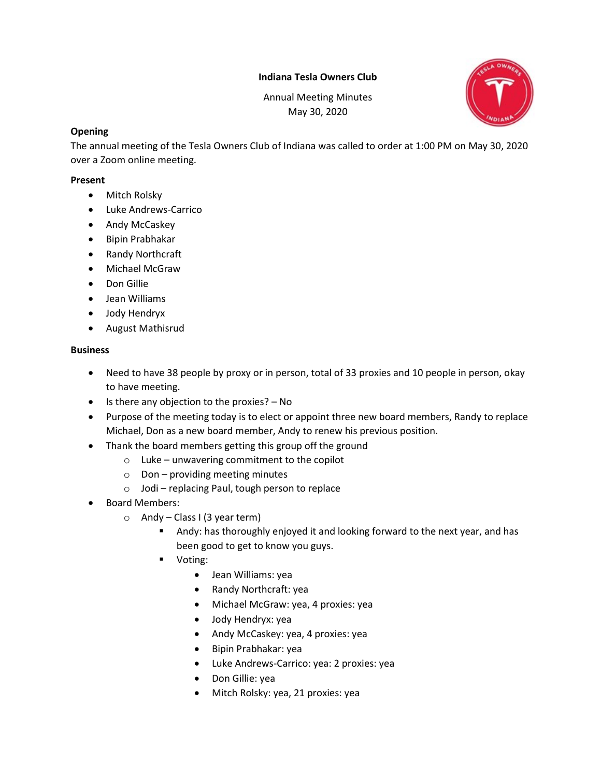## Indiana Tesla Owners Club

Annual Meeting Minutes May 30, 2020



### **Opening**

The annual meeting of the Tesla Owners Club of Indiana was called to order at 1:00 PM on May 30, 2020 over a Zoom online meeting.

#### Present

- Mitch Rolsky
- Luke Andrews-Carrico
- Andy McCaskey
- Bipin Prabhakar
- Randy Northcraft
- Michael McGraw
- Don Gillie
- Jean Williams
- Jody Hendryx
- August Mathisrud

## Business

- Need to have 38 people by proxy or in person, total of 33 proxies and 10 people in person, okay to have meeting.
- $\bullet$  Is there any objection to the proxies?  $-$  No
- Purpose of the meeting today is to elect or appoint three new board members, Randy to replace Michael, Don as a new board member, Andy to renew his previous position.
- Thank the board members getting this group off the ground
	- $\circ$  Luke unwavering commitment to the copilot
	- $\circ$  Don providing meeting minutes
	- o Jodi replacing Paul, tough person to replace
- Board Members:
	- $\circ$  Andy Class I (3 year term)
		- **Andy:** has thoroughly enjoyed it and looking forward to the next year, and has been good to get to know you guys.
		- Voting:
			- Jean Williams: yea
			- Randy Northcraft: yea
			- Michael McGraw: yea, 4 proxies: yea
			- Jody Hendryx: yea
			- Andy McCaskey: yea, 4 proxies: yea
			- Bipin Prabhakar: yea
			- Luke Andrews-Carrico: yea: 2 proxies: yea
			- Don Gillie: yea
			- Mitch Rolsky: yea, 21 proxies: yea